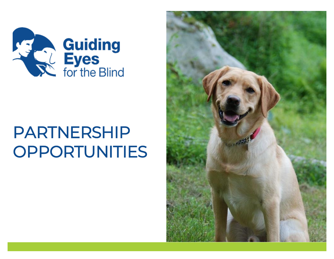

# PARTNERSHIP OPPORTUNITIES

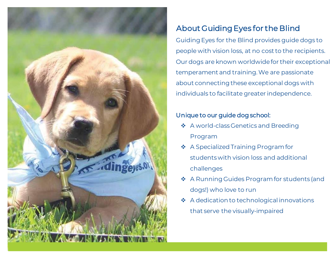

# About Guiding Eyes for the Blind

Guiding Eyes for the Blind provides guide dogs to people with vision loss, at no cost to the recipients. Our dogs are known worldwide for their exceptional temperament and training. We are passionate about connecting these exceptional dogs with individuals to facilitate greater independence.

#### Unique to our guide dog school:

- ❖ A world-class Genetics and Breeding Program
- ❖ A Specialized Training Program for students with vision loss and additional challenges
- ❖ A Running Guides Program for students (and dogs!) who love to run
- ❖ A dedication to technological innovations that serve the visually-impaired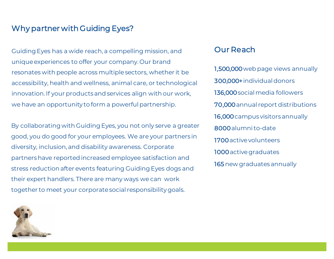### Why partner with Guiding Eyes?

Guiding Eyes has a wide reach, a compelling mission, and unique experiences to offer your company. Our brand resonates with people across multiple sectors, whether it be accessibility, health and wellness, animal care, or technological innovation. If your products and services align with our work, we have an opportunity to form a powerful partnership.

By collaborating with Guiding Eyes, you not only serve a greater good, you do good for your employees. We are your partners in diversity, inclusion, and disability awareness. Corporate partners have reported increased employee satisfaction and stress reduction after events featuring Guiding Eyes dogs and their expert handlers. There are many ways we can work together to meet your corporate social responsibility goals.

#### Our Reach

1,500,000web page views annually 300,000+individual donors 136,000 social media followers 70,000annual report distributions 16,000campus visitors annually 8000alumni to-date 1700active volunteers 1000active graduates 165 new graduates annually

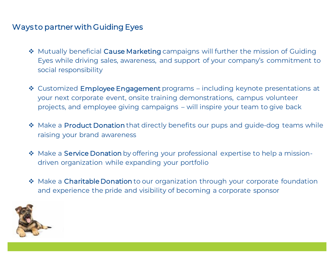## Ways to partner with Guiding Eyes

- ❖ Mutually beneficial Cause Marketing campaigns will further the mission of Guiding Eyes while driving sales, awareness, and support of your company's commitment to social responsibility
- ❖ Customized Employee Engagement programs including keynote presentations at your next corporate event, onsite training demonstrations, campus volunteer projects, and employee giving campaigns – will inspire your team to give back
- ❖ Make a Product Donation that directly benefits our pups and guide-dog teams while raising your brand awareness
- ❖ Make a Service Donation by offering your professional expertise to help a missiondriven organization while expanding your portfolio
- ❖ Make a Charitable Donation to our organization through your corporate foundation and experience the pride and visibility of becoming a corporate sponsor

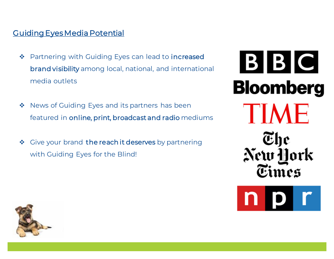## [Guiding Eyes Media Potential](https://www.google.com/url?q=https://www.guidingeyes.org/news-events/guiding-eyes-in-the-news/&sa=D&ust=1573835666606000&usg=AFQjCNHugWfypdj_2hLClQFKQE-8rsPuIg)

- ❖ Partnering with Guiding Eyes can lead to increased brand visibility among local, national, and international media outlets
- ❖ News of Guiding Eyes and its partners has been featured in online, print, broadcast and radio mediums
- ❖ Give your brand the reach it deserves by partnering with Guiding Eyes for the Blind!

BBC **Bloomberg** TIME The New **York** 



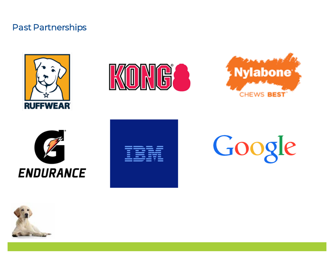## Past Partnerships











Google